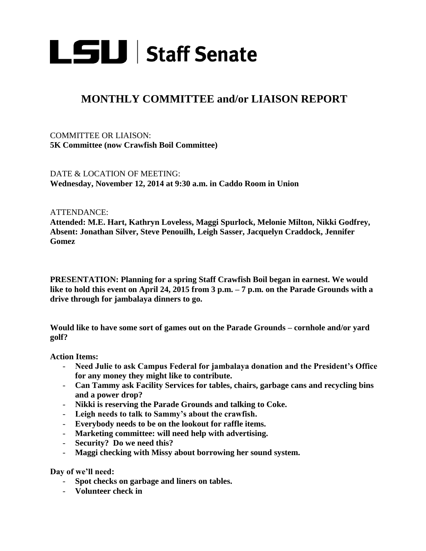

## **MONTHLY COMMITTEE and/or LIAISON REPORT**

COMMITTEE OR LIAISON: **5K Committee (now Crawfish Boil Committee)**

DATE & LOCATION OF MEETING: **Wednesday, November 12, 2014 at 9:30 a.m. in Caddo Room in Union**

ATTENDANCE:

**Attended: M.E. Hart, Kathryn Loveless, Maggi Spurlock, Melonie Milton, Nikki Godfrey, Absent: Jonathan Silver, Steve Penouilh, Leigh Sasser, Jacquelyn Craddock, Jennifer Gomez** 

**PRESENTATION: Planning for a spring Staff Crawfish Boil began in earnest. We would like to hold this event on April 24, 2015 from 3 p.m. – 7 p.m. on the Parade Grounds with a drive through for jambalaya dinners to go.**

**Would like to have some sort of games out on the Parade Grounds – cornhole and/or yard golf?**

**Action Items:**

- **Need Julie to ask Campus Federal for jambalaya donation and the President's Office for any money they might like to contribute.**
- **Can Tammy ask Facility Services for tables, chairs, garbage cans and recycling bins and a power drop?**
- **Nikki is reserving the Parade Grounds and talking to Coke.**
- **Leigh needs to talk to Sammy's about the crawfish.**
- **Everybody needs to be on the lookout for raffle items.**
- **Marketing committee: will need help with advertising.**
- **Security? Do we need this?**
- **Maggi checking with Missy about borrowing her sound system.**

**Day of we'll need:** 

- **Spot checks on garbage and liners on tables.**
- **Volunteer check in**